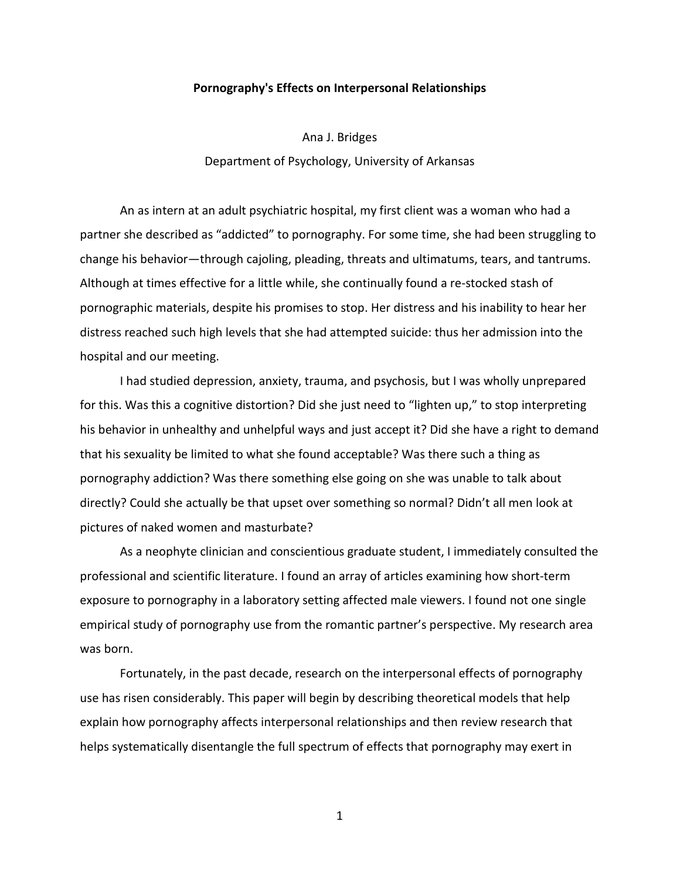#### **Pornography's Effects on Interpersonal Relationships**

Ana J. Bridges Department of Psychology, University of Arkansas

An as intern at an adult psychiatric hospital, my first client was a woman who had a partner she described as "addicted" to pornography. For some time, she had been struggling to change his behavior—through cajoling, pleading, threats and ultimatums, tears, and tantrums. Although at times effective for a little while, she continually found a re-stocked stash of pornographic materials, despite his promises to stop. Her distress and his inability to hear her distress reached such high levels that she had attempted suicide: thus her admission into the hospital and our meeting.

I had studied depression, anxiety, trauma, and psychosis, but I was wholly unprepared for this. Was this a cognitive distortion? Did she just need to "lighten up," to stop interpreting his behavior in unhealthy and unhelpful ways and just accept it? Did she have a right to demand that his sexuality be limited to what she found acceptable? Was there such a thing as pornography addiction? Was there something else going on she was unable to talk about directly? Could she actually be that upset over something so normal? Didn't all men look at pictures of naked women and masturbate?

As a neophyte clinician and conscientious graduate student, I immediately consulted the professional and scientific literature. I found an array of articles examining how short-term exposure to pornography in a laboratory setting affected male viewers. I found not one single empirical study of pornography use from the romantic partner's perspective. My research area was born.

Fortunately, in the past decade, research on the interpersonal effects of pornography use has risen considerably. This paper will begin by describing theoretical models that help explain how pornography affects interpersonal relationships and then review research that helps systematically disentangle the full spectrum of effects that pornography may exert in

1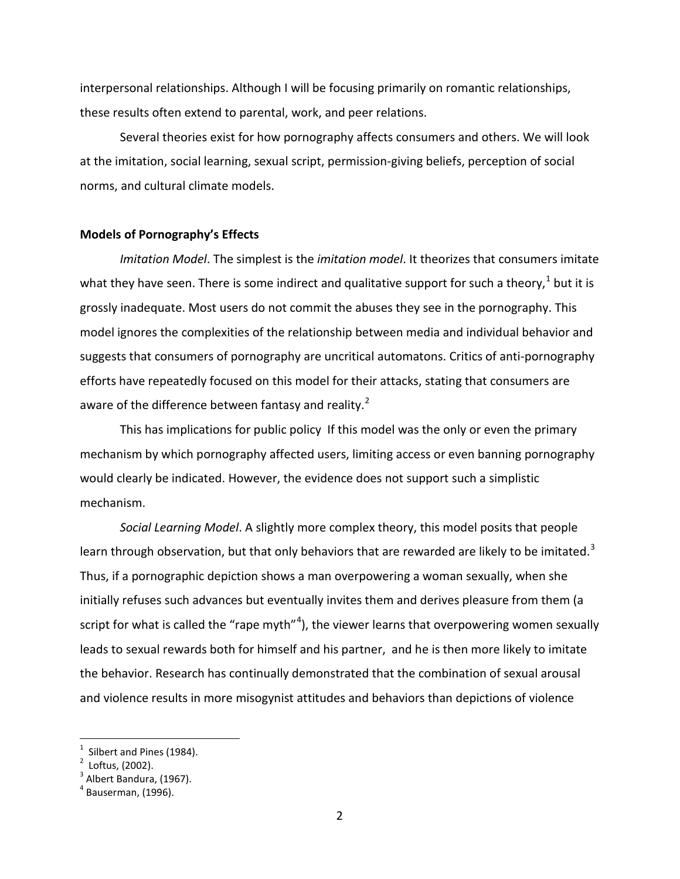interpersonal relationships. Although I will be focusing primarily on romantic relationships, these results often extend to parental, work, and peer relations.

Several theories exist for how pornography affects consumers and others. We will look at the imitation, social learning, sexual script, permission-giving beliefs, perception of social norms, and cultural climate models.

#### **Models of Pornography's Effects**

*Imitation Model*. The simplest is the *imitation model*. It theorizes that consumers imitate what they have seen. There is some indirect and qualitative support for such a theory, $1$  but it is grossly inadequate. Most users do not commit the abuses they see in the pornography. This model ignores the complexities of the relationship between media and individual behavior and suggests that consumers of pornography are uncritical automatons. Critics of anti-pornography efforts have repeatedly focused on this model for their attacks, stating that consumers are aware of the difference between fantasy and reality.<sup>[2](#page-1-1)</sup>

This has implications for public policy If this model was the only or even the primary mechanism by which pornography affected users, limiting access or even banning pornography would clearly be indicated. However, the evidence does not support such a simplistic mechanism.

*Social Learning Model*. A slightly more complex theory, this model posits that people learn through observation, but that only behaviors that are rewarded are likely to be imitated.<sup>[3](#page-1-2)</sup> Thus, if a pornographic depiction shows a man overpowering a woman sexually, when she initially refuses such advances but eventually invites them and derives pleasure from them (a script for what is called the "rape myth"<sup>[4](#page-1-3)</sup>), the viewer learns that overpowering women sexually leads to sexual rewards both for himself and his partner, and he is then more likely to imitate the behavior. Research has continually demonstrated that the combination of sexual arousal and violence results in more misogynist attitudes and behaviors than depictions of violence

Silbert and Pines (1984).

<span id="page-1-1"></span><span id="page-1-0"></span> $2$  Loftus, (2002).

<span id="page-1-2"></span> $3$  Albert Bandura, (1967).

<span id="page-1-3"></span> $<sup>4</sup>$  Bauserman, (1996).</sup>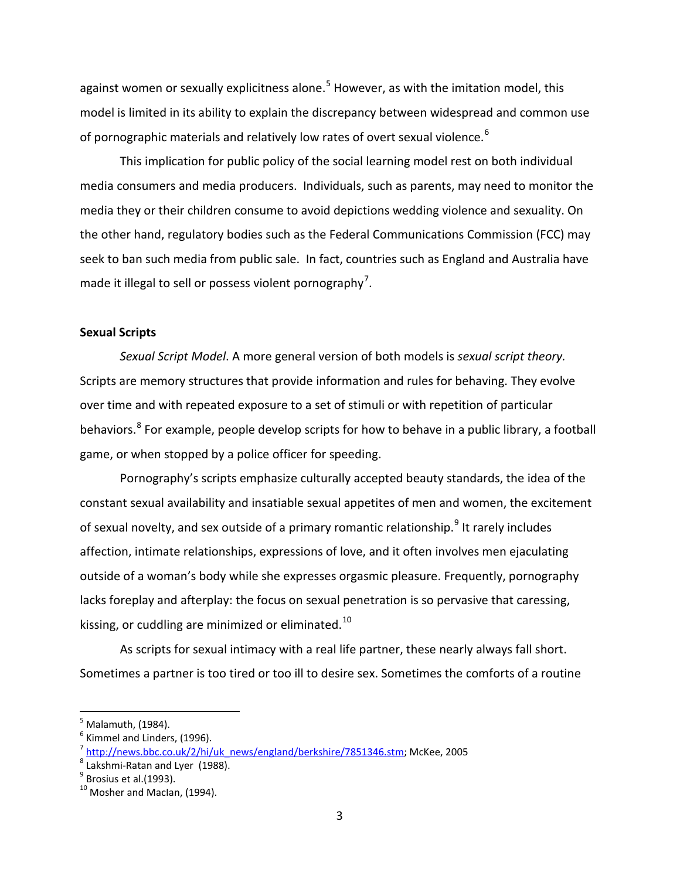against women or sexually explicitness alone.<sup>[5](#page-2-0)</sup> However, as with the imitation model, this model is limited in its ability to explain the discrepancy between widespread and common use of pornographic materials and relatively low rates of overt sexual violence.<sup>[6](#page-2-1)</sup>

This implication for public policy of the social learning model rest on both individual media consumers and media producers. Individuals, such as parents, may need to monitor the media they or their children consume to avoid depictions wedding violence and sexuality. On the other hand, regulatory bodies such as the Federal Communications Commission (FCC) may seek to ban such media from public sale. In fact, countries such as England and Australia have made it illegal to sell or possess violent pornography<sup>[7](#page-2-2)</sup>.

# **Sexual Scripts**

*Sexual Script Model*. A more general version of both models is *sexual script theory.*  Scripts are memory structures that provide information and rules for behaving. They evolve over time and with repeated exposure to a set of stimuli or with repetition of particular behaviors.<sup>[8](#page-2-3)</sup> For example, people develop scripts for how to behave in a public library, a football game, or when stopped by a police officer for speeding.

Pornography's scripts emphasize culturally accepted beauty standards, the idea of the constant sexual availability and insatiable sexual appetites of men and women, the excitement of sexual novelty, and sex outside of a primary romantic relationship.<sup>[9](#page-2-4)</sup> It rarely includes affection, intimate relationships, expressions of love, and it often involves men ejaculating outside of a woman's body while she expresses orgasmic pleasure. Frequently, pornography lacks foreplay and afterplay: the focus on sexual penetration is so pervasive that caressing, kissing, or cuddling are minimized or eliminated.<sup>[10](#page-2-5)</sup>

As scripts for sexual intimacy with a real life partner, these nearly always fall short. Sometimes a partner is too tired or too ill to desire sex. Sometimes the comforts of a routine

<span id="page-2-0"></span>Malamuth, (1984).

 $<sup>6</sup>$  Kimmel and Linders, (1996).</sup>

<span id="page-2-2"></span><span id="page-2-1"></span><sup>&</sup>lt;sup>7</sup> [http://news.bbc.co.uk/2/hi/uk\\_news/england/berkshire/7851346.stm;](http://news.bbc.co.uk/2/hi/uk_news/england/berkshire/7851346.stm) McKee, 2005

<span id="page-2-3"></span><sup>8</sup> Lakshmi-Ratan and Lyer (1988).

<span id="page-2-4"></span> $<sup>9</sup>$  Brosius et al.(1993).</sup>

<span id="page-2-5"></span> $10$  Mosher and Maclan, (1994).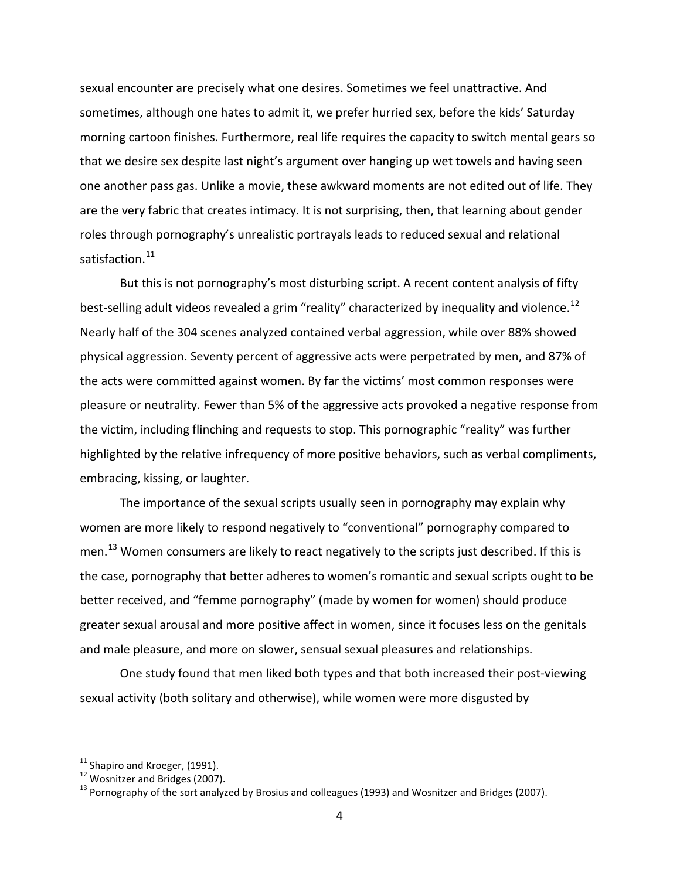sexual encounter are precisely what one desires. Sometimes we feel unattractive. And sometimes, although one hates to admit it, we prefer hurried sex, before the kids' Saturday morning cartoon finishes. Furthermore, real life requires the capacity to switch mental gears so that we desire sex despite last night's argument over hanging up wet towels and having seen one another pass gas. Unlike a movie, these awkward moments are not edited out of life. They are the very fabric that creates intimacy. It is not surprising, then, that learning about gender roles through pornography's unrealistic portrayals leads to reduced sexual and relational satisfaction.<sup>[11](#page-3-0)</sup>

But this is not pornography's most disturbing script. A recent content analysis of fifty best-selling adult videos revealed a grim "reality" characterized by inequality and violence.<sup>[12](#page-3-1)</sup> Nearly half of the 304 scenes analyzed contained verbal aggression, while over 88% showed physical aggression. Seventy percent of aggressive acts were perpetrated by men, and 87% of the acts were committed against women. By far the victims' most common responses were pleasure or neutrality. Fewer than 5% of the aggressive acts provoked a negative response from the victim, including flinching and requests to stop. This pornographic "reality" was further highlighted by the relative infrequency of more positive behaviors, such as verbal compliments, embracing, kissing, or laughter.

The importance of the sexual scripts usually seen in pornography may explain why women are more likely to respond negatively to "conventional" pornography compared to men.<sup>[13](#page-3-2)</sup> Women consumers are likely to react negatively to the scripts just described. If this is the case, pornography that better adheres to women's romantic and sexual scripts ought to be better received, and "femme pornography" (made by women for women) should produce greater sexual arousal and more positive affect in women, since it focuses less on the genitals and male pleasure, and more on slower, sensual sexual pleasures and relationships.

One study found that men liked both types and that both increased their post-viewing sexual activity (both solitary and otherwise), while women were more disgusted by

<sup>11&</sup>lt;br><sup>11</sup> Shapiro and Kroeger, (1991).

<span id="page-3-1"></span><span id="page-3-0"></span> $12$  Wosnitzer and Bridges (2007).

<span id="page-3-2"></span> $^{13}$  Pornography of the sort analyzed by Brosius and colleagues (1993) and Wosnitzer and Bridges (2007).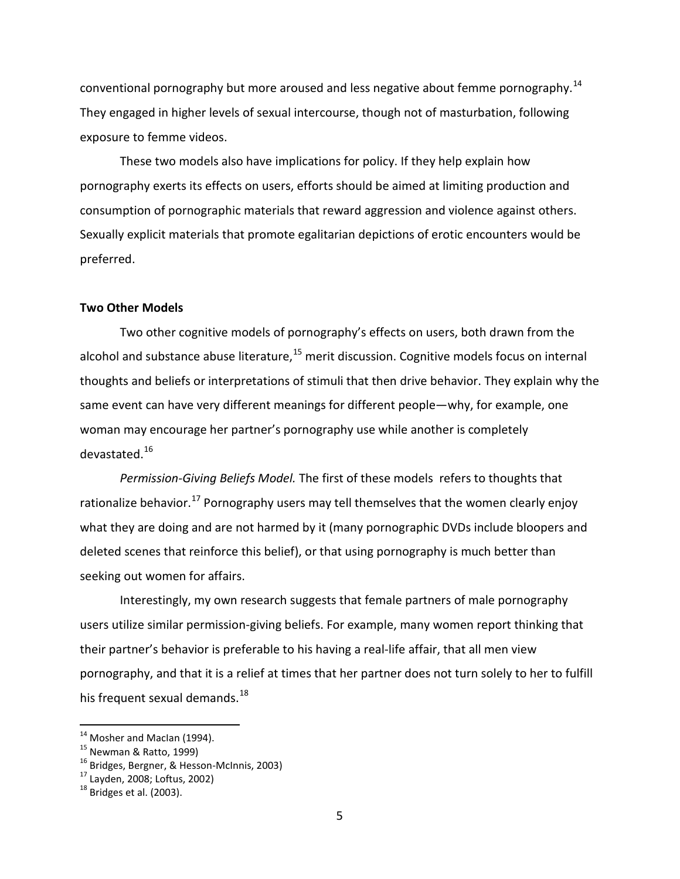conventional pornography but more aroused and less negative about femme pornography.<sup>[14](#page-4-0)</sup> They engaged in higher levels of sexual intercourse, though not of masturbation, following exposure to femme videos.

These two models also have implications for policy. If they help explain how pornography exerts its effects on users, efforts should be aimed at limiting production and consumption of pornographic materials that reward aggression and violence against others. Sexually explicit materials that promote egalitarian depictions of erotic encounters would be preferred.

## **Two Other Models**

Two other cognitive models of pornography's effects on users, both drawn from the alcohol and substance abuse literature,<sup>[15](#page-4-1)</sup> merit discussion. Cognitive models focus on internal thoughts and beliefs or interpretations of stimuli that then drive behavior. They explain why the same event can have very different meanings for different people—why, for example, one woman may encourage her partner's pornography use while another is completely devastated.[16](#page-4-2)

*Permission-Giving Beliefs Model.* The first of these models refers to thoughts that rationalize behavior.<sup>[17](#page-4-3)</sup> Pornography users may tell themselves that the women clearly enjoy what they are doing and are not harmed by it (many pornographic DVDs include bloopers and deleted scenes that reinforce this belief), or that using pornography is much better than seeking out women for affairs.

Interestingly, my own research suggests that female partners of male pornography users utilize similar permission-giving beliefs. For example, many women report thinking that their partner's behavior is preferable to his having a real-life affair, that all men view pornography, and that it is a relief at times that her partner does not turn solely to her to fulfill his frequent sexual demands.<sup>[18](#page-4-4)</sup>

<sup>&</sup>lt;sup>14</sup> Mosher and MacIan (1994).

<span id="page-4-2"></span><span id="page-4-1"></span><span id="page-4-0"></span><sup>&</sup>lt;sup>15</sup> Newman & Ratto, 1999)

<sup>&</sup>lt;sup>16</sup> Bridges, Bergner, & Hesson-McInnis, 2003)

<span id="page-4-3"></span><sup>17</sup> Layden, 2008; Loftus, 2002)

<span id="page-4-4"></span> $18$  Bridges et al. (2003).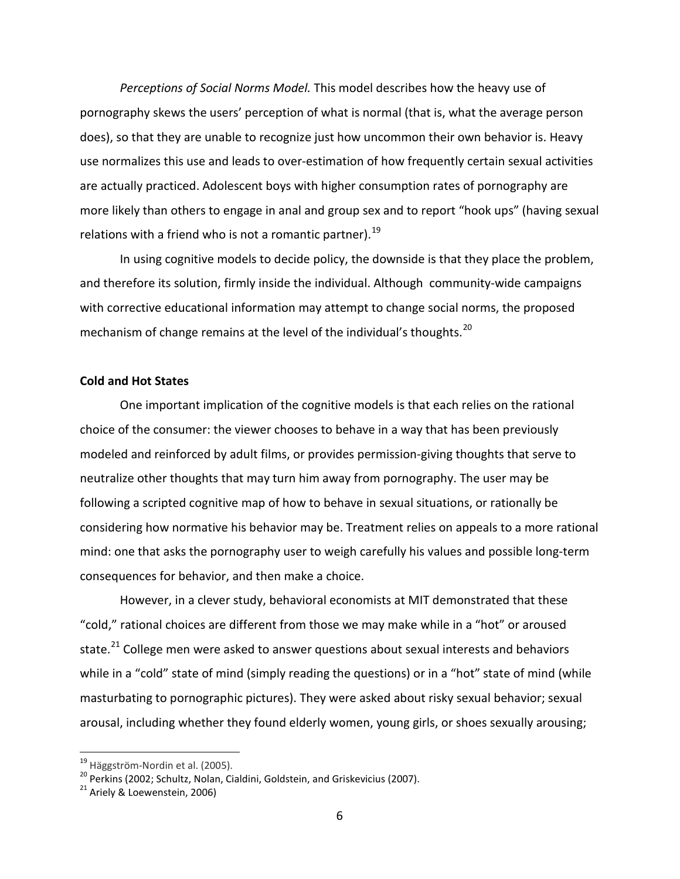*Perceptions of Social Norms Model.* This model describes how the heavy use of pornography skews the users' perception of what is normal (that is, what the average person does), so that they are unable to recognize just how uncommon their own behavior is. Heavy use normalizes this use and leads to over-estimation of how frequently certain sexual activities are actually practiced. Adolescent boys with higher consumption rates of pornography are more likely than others to engage in anal and group sex and to report "hook ups" (having sexual relations with a friend who is not a romantic partner).<sup>[19](#page-5-0)</sup>

In using cognitive models to decide policy, the downside is that they place the problem, and therefore its solution, firmly inside the individual. Although community-wide campaigns with corrective educational information may attempt to change social norms, the proposed mechanism of change remains at the level of the individual's thoughts.<sup>[20](#page-5-1)</sup>

## **Cold and Hot States**

One important implication of the cognitive models is that each relies on the rational choice of the consumer: the viewer chooses to behave in a way that has been previously modeled and reinforced by adult films, or provides permission-giving thoughts that serve to neutralize other thoughts that may turn him away from pornography. The user may be following a scripted cognitive map of how to behave in sexual situations, or rationally be considering how normative his behavior may be. Treatment relies on appeals to a more rational mind: one that asks the pornography user to weigh carefully his values and possible long-term consequences for behavior, and then make a choice.

However, in a clever study, behavioral economists at MIT demonstrated that these "cold," rational choices are different from those we may make while in a "hot" or aroused state. $^{21}$  $^{21}$  $^{21}$  College men were asked to answer questions about sexual interests and behaviors while in a "cold" state of mind (simply reading the questions) or in a "hot" state of mind (while masturbating to pornographic pictures). They were asked about risky sexual behavior; sexual arousal, including whether they found elderly women, young girls, or shoes sexually arousing;

<span id="page-5-0"></span><sup>&</sup>lt;sup>19</sup> Häggström-Nordin et al. (2005).

<span id="page-5-1"></span><sup>&</sup>lt;sup>20</sup> Perkins (2002; Schultz, Nolan, Cialdini, Goldstein, and Griskevicius (2007).

<span id="page-5-2"></span> $21$  Ariely & Loewenstein, 2006)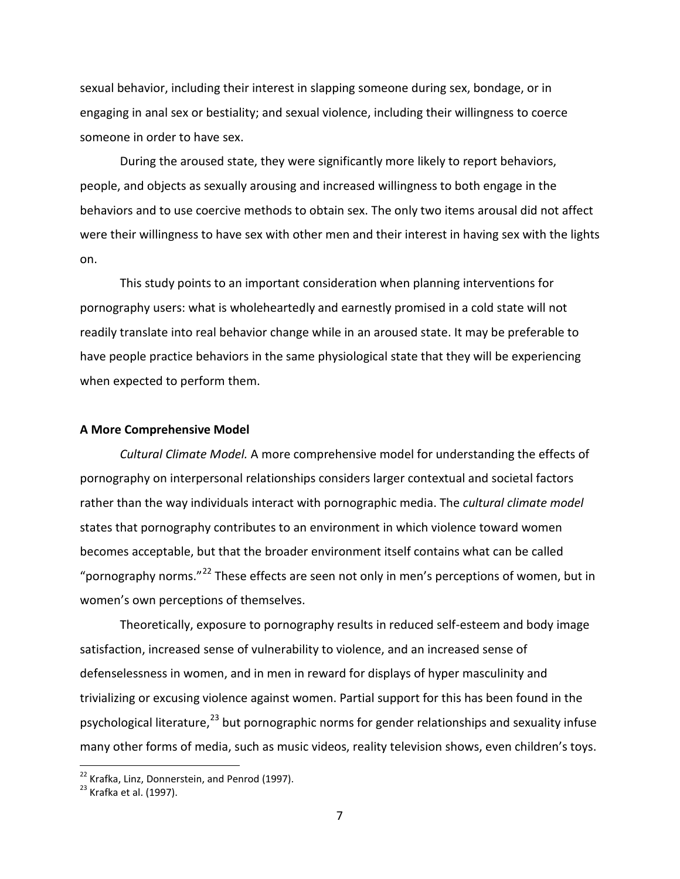sexual behavior, including their interest in slapping someone during sex, bondage, or in engaging in anal sex or bestiality; and sexual violence, including their willingness to coerce someone in order to have sex.

During the aroused state, they were significantly more likely to report behaviors, people, and objects as sexually arousing and increased willingness to both engage in the behaviors and to use coercive methods to obtain sex. The only two items arousal did not affect were their willingness to have sex with other men and their interest in having sex with the lights on.

This study points to an important consideration when planning interventions for pornography users: what is wholeheartedly and earnestly promised in a cold state will not readily translate into real behavior change while in an aroused state. It may be preferable to have people practice behaviors in the same physiological state that they will be experiencing when expected to perform them.

#### **A More Comprehensive Model**

*Cultural Climate Model.* A more comprehensive model for understanding the effects of pornography on interpersonal relationships considers larger contextual and societal factors rather than the way individuals interact with pornographic media. The *cultural climate model*  states that pornography contributes to an environment in which violence toward women becomes acceptable, but that the broader environment itself contains what can be called "pornography norms."<sup>[22](#page-6-0)</sup> These effects are seen not only in men's perceptions of women, but in women's own perceptions of themselves.

Theoretically, exposure to pornography results in reduced self-esteem and body image satisfaction, increased sense of vulnerability to violence, and an increased sense of defenselessness in women, and in men in reward for displays of hyper masculinity and trivializing or excusing violence against women. Partial support for this has been found in the psychological literature,<sup>[23](#page-6-1)</sup> but pornographic norms for gender relationships and sexuality infuse many other forms of media, such as music videos, reality television shows, even children's toys.

<span id="page-6-0"></span><sup>&</sup>lt;sup>22</sup> Krafka, Linz, Donnerstein, and Penrod (1997).

<span id="page-6-1"></span> $23$  Krafka et al. (1997).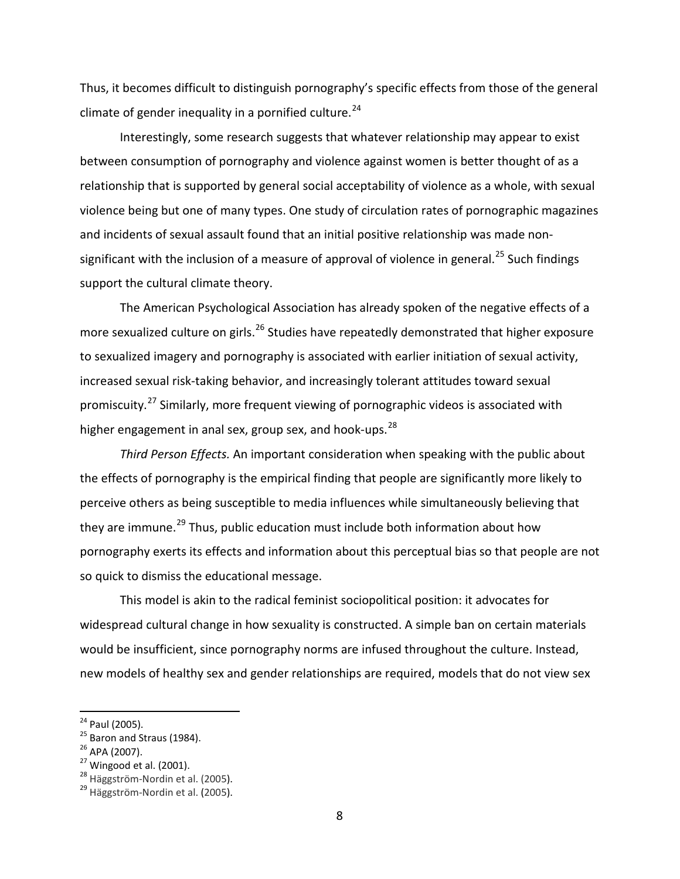Thus, it becomes difficult to distinguish pornography's specific effects from those of the general climate of gender inequality in a pornified culture.<sup>[24](#page-7-0)</sup>

Interestingly, some research suggests that whatever relationship may appear to exist between consumption of pornography and violence against women is better thought of as a relationship that is supported by general social acceptability of violence as a whole, with sexual violence being but one of many types. One study of circulation rates of pornographic magazines and incidents of sexual assault found that an initial positive relationship was made non-significant with the inclusion of a measure of approval of violence in general.<sup>[25](#page-7-1)</sup> Such findings support the cultural climate theory.

The American Psychological Association has already spoken of the negative effects of a more sexualized culture on girls.<sup>[26](#page-7-2)</sup> Studies have repeatedly demonstrated that higher exposure to sexualized imagery and pornography is associated with earlier initiation of sexual activity, increased sexual risk-taking behavior, and increasingly tolerant attitudes toward sexual promiscuity.[27](#page-7-3) Similarly, more frequent viewing of pornographic videos is associated with higher engagement in anal sex, group sex, and hook-ups.  $^{28}$  $^{28}$  $^{28}$ 

*Third Person Effects.* An important consideration when speaking with the public about the effects of pornography is the empirical finding that people are significantly more likely to perceive others as being susceptible to media influences while simultaneously believing that they are immune.<sup>[29](#page-7-5)</sup> Thus, public education must include both information about how pornography exerts its effects and information about this perceptual bias so that people are not so quick to dismiss the educational message.

This model is akin to the radical feminist sociopolitical position: it advocates for widespread cultural change in how sexuality is constructed. A simple ban on certain materials would be insufficient, since pornography norms are infused throughout the culture. Instead, new models of healthy sex and gender relationships are required, models that do not view sex

<span id="page-7-0"></span><sup>&</sup>lt;sup>24</sup> Paul (2005).

<span id="page-7-1"></span> $^{25}$  Baron and Straus (1984).

<span id="page-7-2"></span><sup>26</sup> APA (2007).

<span id="page-7-3"></span> $27$  Wingood et al. (2001).

<span id="page-7-4"></span><sup>&</sup>lt;sup>28</sup> Häggström-Nordin et al. (2005).

<span id="page-7-5"></span><sup>&</sup>lt;sup>29</sup> Häggström-Nordin et al. (2005).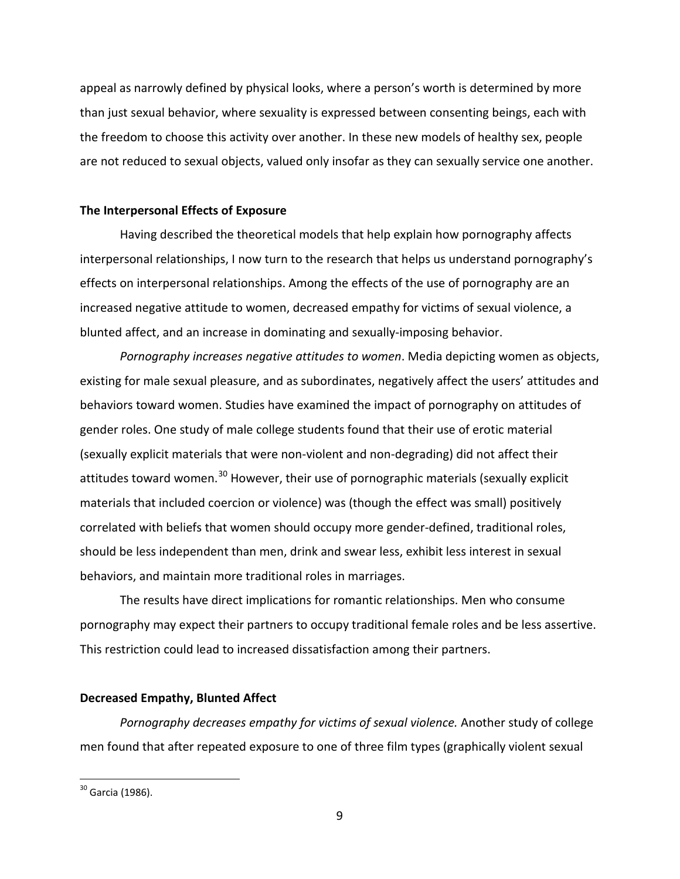appeal as narrowly defined by physical looks, where a person's worth is determined by more than just sexual behavior, where sexuality is expressed between consenting beings, each with the freedom to choose this activity over another. In these new models of healthy sex, people are not reduced to sexual objects, valued only insofar as they can sexually service one another.

# **The Interpersonal Effects of Exposure**

Having described the theoretical models that help explain how pornography affects interpersonal relationships, I now turn to the research that helps us understand pornography's effects on interpersonal relationships. Among the effects of the use of pornography are an increased negative attitude to women, decreased empathy for victims of sexual violence, a blunted affect, and an increase in dominating and sexually-imposing behavior.

*Pornography increases negative attitudes to women*. Media depicting women as objects, existing for male sexual pleasure, and as subordinates, negatively affect the users' attitudes and behaviors toward women. Studies have examined the impact of pornography on attitudes of gender roles. One study of male college students found that their use of erotic material (sexually explicit materials that were non-violent and non-degrading) did not affect their attitudes toward women.<sup>[30](#page-8-0)</sup> However, their use of pornographic materials (sexually explicit materials that included coercion or violence) was (though the effect was small) positively correlated with beliefs that women should occupy more gender-defined, traditional roles, should be less independent than men, drink and swear less, exhibit less interest in sexual behaviors, and maintain more traditional roles in marriages.

The results have direct implications for romantic relationships. Men who consume pornography may expect their partners to occupy traditional female roles and be less assertive. This restriction could lead to increased dissatisfaction among their partners.

# **Decreased Empathy, Blunted Affect**

*Pornography decreases empathy for victims of sexual violence.* Another study of college men found that after repeated exposure to one of three film types (graphically violent sexual

<span id="page-8-0"></span><sup>&</sup>lt;sup>30</sup> Garcia (1986).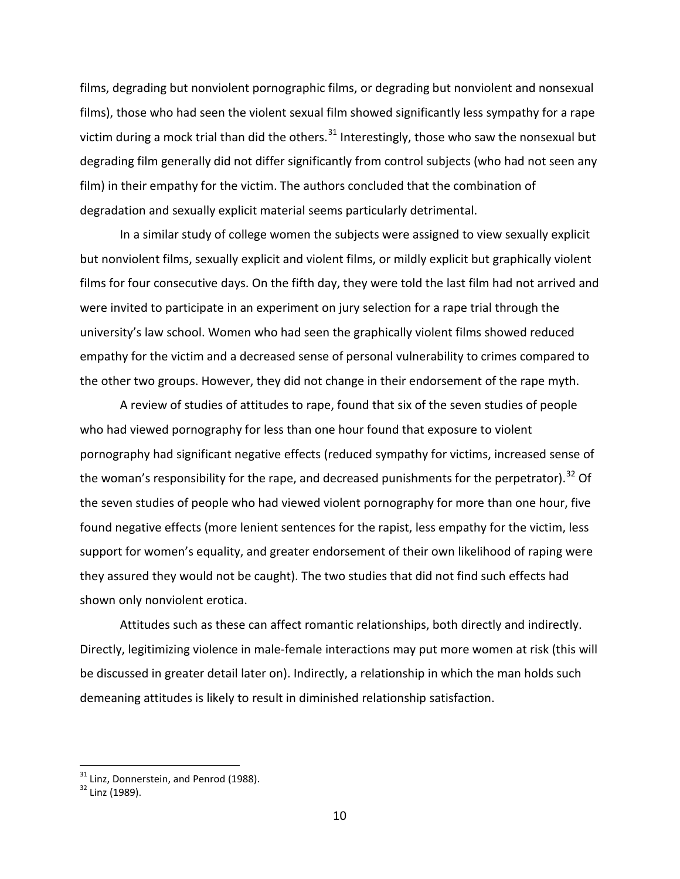films, degrading but nonviolent pornographic films, or degrading but nonviolent and nonsexual films), those who had seen the violent sexual film showed significantly less sympathy for a rape victim during a mock trial than did the others.<sup>[31](#page-9-0)</sup> Interestingly, those who saw the nonsexual but degrading film generally did not differ significantly from control subjects (who had not seen any film) in their empathy for the victim. The authors concluded that the combination of degradation and sexually explicit material seems particularly detrimental.

In a similar study of college women the subjects were assigned to view sexually explicit but nonviolent films, sexually explicit and violent films, or mildly explicit but graphically violent films for four consecutive days. On the fifth day, they were told the last film had not arrived and were invited to participate in an experiment on jury selection for a rape trial through the university's law school. Women who had seen the graphically violent films showed reduced empathy for the victim and a decreased sense of personal vulnerability to crimes compared to the other two groups. However, they did not change in their endorsement of the rape myth.

A review of studies of attitudes to rape, found that six of the seven studies of people who had viewed pornography for less than one hour found that exposure to violent pornography had significant negative effects (reduced sympathy for victims, increased sense of the woman's responsibility for the rape, and decreased punishments for the perpetrator).<sup>[32](#page-9-1)</sup> Of the seven studies of people who had viewed violent pornography for more than one hour, five found negative effects (more lenient sentences for the rapist, less empathy for the victim, less support for women's equality, and greater endorsement of their own likelihood of raping were they assured they would not be caught). The two studies that did not find such effects had shown only nonviolent erotica.

Attitudes such as these can affect romantic relationships, both directly and indirectly. Directly, legitimizing violence in male-female interactions may put more women at risk (this will be discussed in greater detail later on). Indirectly, a relationship in which the man holds such demeaning attitudes is likely to result in diminished relationship satisfaction.

 $31$  Linz, Donnerstein, and Penrod (1988).

<span id="page-9-1"></span><span id="page-9-0"></span><sup>32</sup> Linz (1989).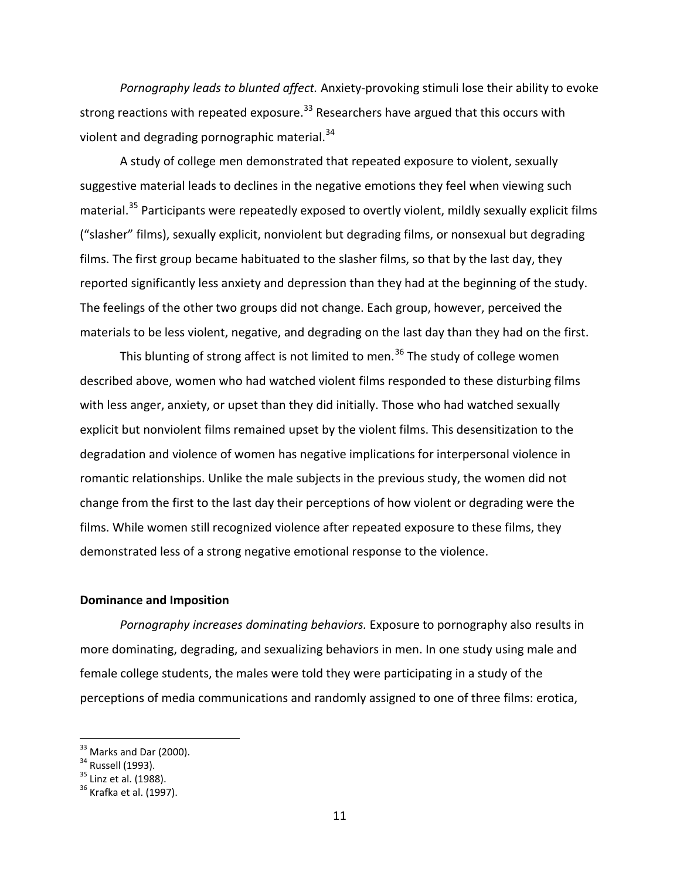*Pornography leads to blunted affect.* Anxiety-provoking stimuli lose their ability to evoke strong reactions with repeated exposure.<sup>[33](#page-10-0)</sup> Researchers have argued that this occurs with violent and degrading pornographic material.<sup>[34](#page-10-1)</sup>

A study of college men demonstrated that repeated exposure to violent, sexually suggestive material leads to declines in the negative emotions they feel when viewing such material.<sup>[35](#page-10-2)</sup> Participants were repeatedly exposed to overtly violent, mildly sexually explicit films ("slasher" films), sexually explicit, nonviolent but degrading films, or nonsexual but degrading films. The first group became habituated to the slasher films, so that by the last day, they reported significantly less anxiety and depression than they had at the beginning of the study. The feelings of the other two groups did not change. Each group, however, perceived the materials to be less violent, negative, and degrading on the last day than they had on the first.

This blunting of strong affect is not limited to men.<sup>[36](#page-10-3)</sup> The study of college women described above, women who had watched violent films responded to these disturbing films with less anger, anxiety, or upset than they did initially. Those who had watched sexually explicit but nonviolent films remained upset by the violent films. This desensitization to the degradation and violence of women has negative implications for interpersonal violence in romantic relationships. Unlike the male subjects in the previous study, the women did not change from the first to the last day their perceptions of how violent or degrading were the films. While women still recognized violence after repeated exposure to these films, they demonstrated less of a strong negative emotional response to the violence.

## **Dominance and Imposition**

*Pornography increases dominating behaviors.* Exposure to pornography also results in more dominating, degrading, and sexualizing behaviors in men. In one study using male and female college students, the males were told they were participating in a study of the perceptions of media communications and randomly assigned to one of three films: erotica,

 $33$  Marks and Dar (2000).

<span id="page-10-1"></span><span id="page-10-0"></span><sup>34</sup> Russell (1993).

<span id="page-10-2"></span><sup>&</sup>lt;sup>35</sup> Linz et al. (1988).

<span id="page-10-3"></span> $36$  Krafka et al. (1997).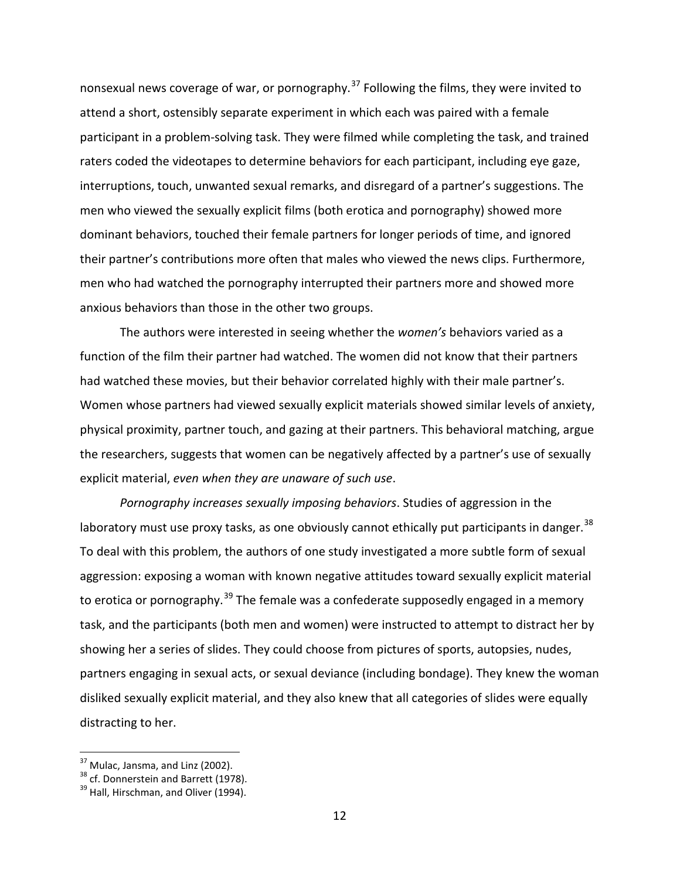nonsexual news coverage of war, or pornography.<sup>[37](#page-11-0)</sup> Following the films, they were invited to attend a short, ostensibly separate experiment in which each was paired with a female participant in a problem-solving task. They were filmed while completing the task, and trained raters coded the videotapes to determine behaviors for each participant, including eye gaze, interruptions, touch, unwanted sexual remarks, and disregard of a partner's suggestions. The men who viewed the sexually explicit films (both erotica and pornography) showed more dominant behaviors, touched their female partners for longer periods of time, and ignored their partner's contributions more often that males who viewed the news clips. Furthermore, men who had watched the pornography interrupted their partners more and showed more anxious behaviors than those in the other two groups.

The authors were interested in seeing whether the *women's* behaviors varied as a function of the film their partner had watched. The women did not know that their partners had watched these movies, but their behavior correlated highly with their male partner's. Women whose partners had viewed sexually explicit materials showed similar levels of anxiety, physical proximity, partner touch, and gazing at their partners. This behavioral matching, argue the researchers, suggests that women can be negatively affected by a partner's use of sexually explicit material, *even when they are unaware of such use*.

*Pornography increases sexually imposing behaviors*. Studies of aggression in the laboratory must use proxy tasks, as one obviously cannot ethically put participants in danger.  $38$ To deal with this problem, the authors of one study investigated a more subtle form of sexual aggression: exposing a woman with known negative attitudes toward sexually explicit material to erotica or pornography.<sup>[39](#page-11-2)</sup> The female was a confederate supposedly engaged in a memory task, and the participants (both men and women) were instructed to attempt to distract her by showing her a series of slides. They could choose from pictures of sports, autopsies, nudes, partners engaging in sexual acts, or sexual deviance (including bondage). They knew the woman disliked sexually explicit material, and they also knew that all categories of slides were equally distracting to her.

<span id="page-11-0"></span> $37$  Mulac, Jansma, and Linz (2002).

<span id="page-11-1"></span><sup>&</sup>lt;sup>38</sup> cf. Donnerstein and Barrett (1978).

<span id="page-11-2"></span><sup>&</sup>lt;sup>39</sup> Hall, Hirschman, and Oliver (1994).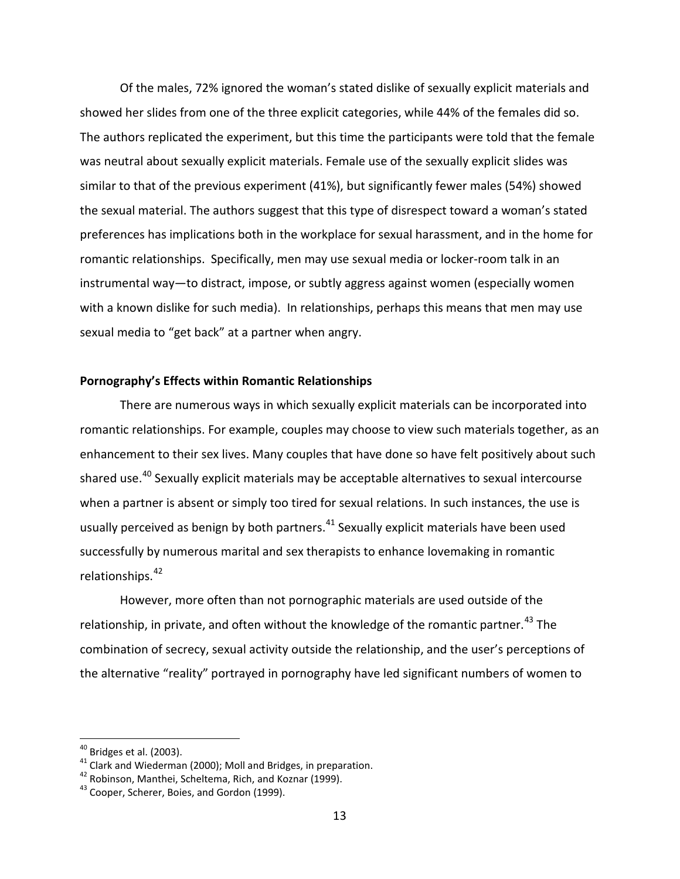Of the males, 72% ignored the woman's stated dislike of sexually explicit materials and showed her slides from one of the three explicit categories, while 44% of the females did so. The authors replicated the experiment, but this time the participants were told that the female was neutral about sexually explicit materials. Female use of the sexually explicit slides was similar to that of the previous experiment (41%), but significantly fewer males (54%) showed the sexual material. The authors suggest that this type of disrespect toward a woman's stated preferences has implications both in the workplace for sexual harassment, and in the home for romantic relationships. Specifically, men may use sexual media or locker-room talk in an instrumental way—to distract, impose, or subtly aggress against women (especially women with a known dislike for such media). In relationships, perhaps this means that men may use sexual media to "get back" at a partner when angry.

## **Pornography's Effects within Romantic Relationships**

There are numerous ways in which sexually explicit materials can be incorporated into romantic relationships. For example, couples may choose to view such materials together, as an enhancement to their sex lives. Many couples that have done so have felt positively about such shared use.<sup>[40](#page-12-0)</sup> Sexually explicit materials may be acceptable alternatives to sexual intercourse when a partner is absent or simply too tired for sexual relations. In such instances, the use is usually perceived as benign by both partners. $41$  Sexually explicit materials have been used successfully by numerous marital and sex therapists to enhance lovemaking in romantic relationships.[42](#page-12-2)

However, more often than not pornographic materials are used outside of the relationship, in private, and often without the knowledge of the romantic partner.<sup>[43](#page-12-3)</sup> The combination of secrecy, sexual activity outside the relationship, and the user's perceptions of the alternative "reality" portrayed in pornography have led significant numbers of women to

<span id="page-12-0"></span> $40$  Bridges et al. (2003).

<span id="page-12-1"></span><sup>&</sup>lt;sup>41</sup> Clark and Wiederman (2000); Moll and Bridges, in preparation.

<span id="page-12-2"></span><sup>42</sup> Robinson, Manthei, Scheltema, Rich, and Koznar (1999).

<span id="page-12-3"></span><sup>&</sup>lt;sup>43</sup> Cooper. Scherer, Boies, and Gordon (1999).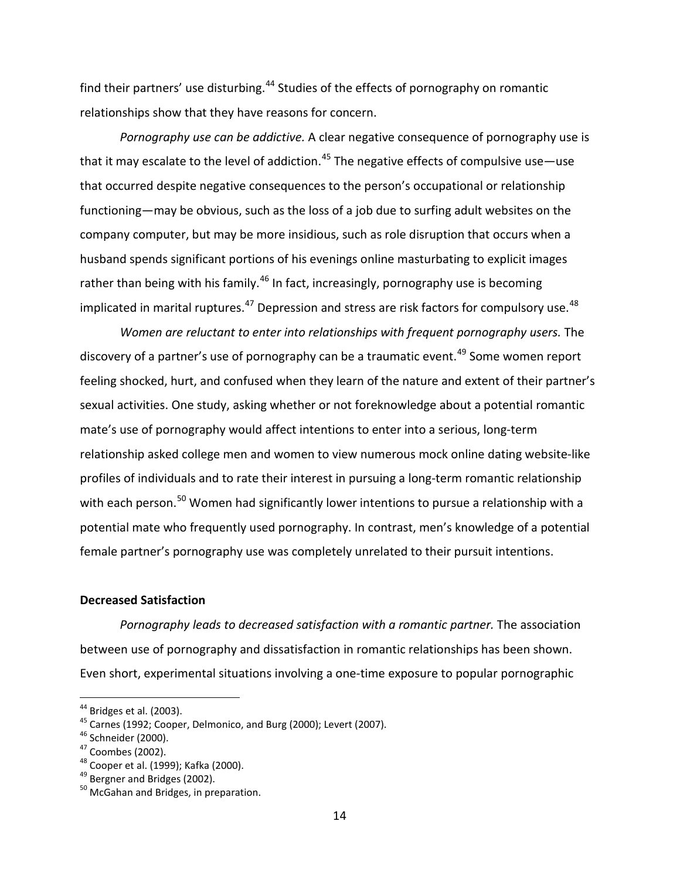find their partners' use disturbing.<sup>[44](#page-13-0)</sup> Studies of the effects of pornography on romantic relationships show that they have reasons for concern.

*Pornography use can be addictive.* A clear negative consequence of pornography use is that it may escalate to the level of addiction.<sup>[45](#page-13-1)</sup> The negative effects of compulsive use—use that occurred despite negative consequences to the person's occupational or relationship functioning—may be obvious, such as the loss of a job due to surfing adult websites on the company computer, but may be more insidious, such as role disruption that occurs when a husband spends significant portions of his evenings online masturbating to explicit images rather than being with his family.<sup>[46](#page-13-2)</sup> In fact, increasingly, pornography use is becoming implicated in marital ruptures. $^{47}$  $^{47}$  $^{47}$  Depression and stress are risk factors for compulsory use. $^{48}$  $^{48}$  $^{48}$ 

*Women are reluctant to enter into relationships with frequent pornography users.* The discovery of a partner's use of pornography can be a traumatic event.<sup>[49](#page-13-5)</sup> Some women report feeling shocked, hurt, and confused when they learn of the nature and extent of their partner's sexual activities. One study, asking whether or not foreknowledge about a potential romantic mate's use of pornography would affect intentions to enter into a serious, long-term relationship asked college men and women to view numerous mock online dating website-like profiles of individuals and to rate their interest in pursuing a long-term romantic relationship with each person.<sup>[50](#page-13-6)</sup> Women had significantly lower intentions to pursue a relationship with a potential mate who frequently used pornography. In contrast, men's knowledge of a potential female partner's pornography use was completely unrelated to their pursuit intentions.

## **Decreased Satisfaction**

*Pornography leads to decreased satisfaction with a romantic partner.* The association between use of pornography and dissatisfaction in romantic relationships has been shown. Even short, experimental situations involving a one-time exposure to popular pornographic

<span id="page-13-0"></span> $44$  Bridges et al. (2003).

<span id="page-13-1"></span><sup>&</sup>lt;sup>45</sup> Carnes (1992; Cooper, Delmonico, and Burg (2000); Levert (2007).

<span id="page-13-2"></span><sup>46</sup> Schneider (2000).

<span id="page-13-3"></span><sup>47</sup> Coombes (2002).

<span id="page-13-4"></span><sup>48</sup> Cooper et al. (1999); Kafka (2000).

<span id="page-13-5"></span><sup>&</sup>lt;sup>49</sup> Bergner and Bridges (2002).

<span id="page-13-6"></span> $50$  McGahan and Bridges, in preparation.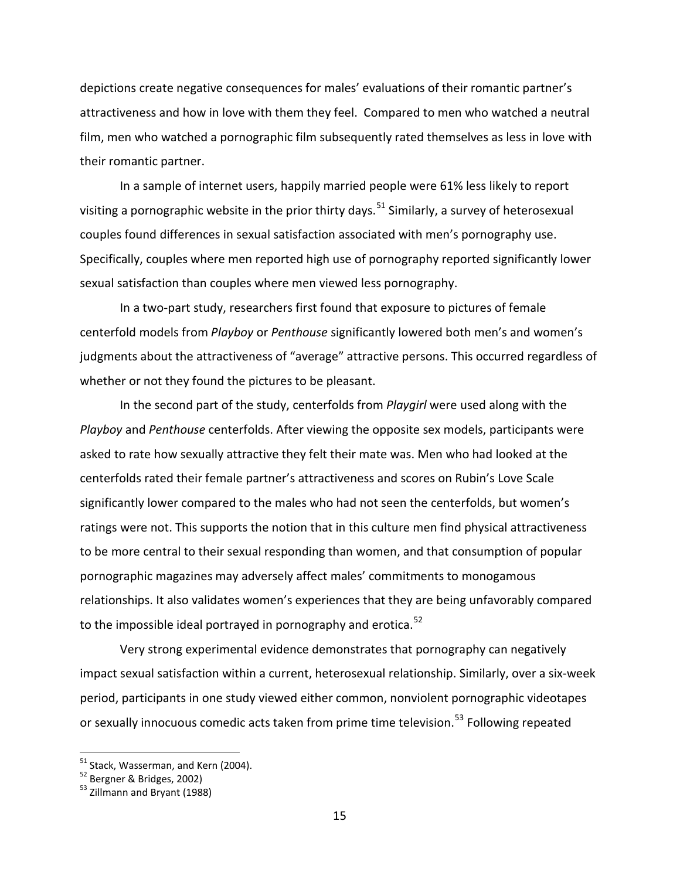depictions create negative consequences for males' evaluations of their romantic partner's attractiveness and how in love with them they feel. Compared to men who watched a neutral film, men who watched a pornographic film subsequently rated themselves as less in love with their romantic partner.

In a sample of internet users, happily married people were 61% less likely to report visiting a pornographic website in the prior thirty days.<sup>[51](#page-14-0)</sup> Similarly, a survey of heterosexual couples found differences in sexual satisfaction associated with men's pornography use. Specifically, couples where men reported high use of pornography reported significantly lower sexual satisfaction than couples where men viewed less pornography.

In a two-part study, researchers first found that exposure to pictures of female centerfold models from *Playboy* or *Penthouse* significantly lowered both men's and women's judgments about the attractiveness of "average" attractive persons. This occurred regardless of whether or not they found the pictures to be pleasant.

In the second part of the study, centerfolds from *Playgirl* were used along with the *Playboy* and *Penthouse* centerfolds. After viewing the opposite sex models, participants were asked to rate how sexually attractive they felt their mate was. Men who had looked at the centerfolds rated their female partner's attractiveness and scores on Rubin's Love Scale significantly lower compared to the males who had not seen the centerfolds, but women's ratings were not. This supports the notion that in this culture men find physical attractiveness to be more central to their sexual responding than women, and that consumption of popular pornographic magazines may adversely affect males' commitments to monogamous relationships. It also validates women's experiences that they are being unfavorably compared to the impossible ideal portrayed in pornography and erotica.<sup>[52](#page-14-1)</sup>

Very strong experimental evidence demonstrates that pornography can negatively impact sexual satisfaction within a current, heterosexual relationship. Similarly, over a six-week period, participants in one study viewed either common, nonviolent pornographic videotapes or sexually innocuous comedic acts taken from prime time television.<sup>[53](#page-14-2)</sup> Following repeated

<span id="page-14-0"></span><sup>51</sup> Stack, Wasserman, and Kern (2004).

<sup>&</sup>lt;sup>52</sup> Bergner & Bridges, 2002)

<span id="page-14-2"></span><span id="page-14-1"></span><sup>&</sup>lt;sup>53</sup> Zillmann and Bryant (1988)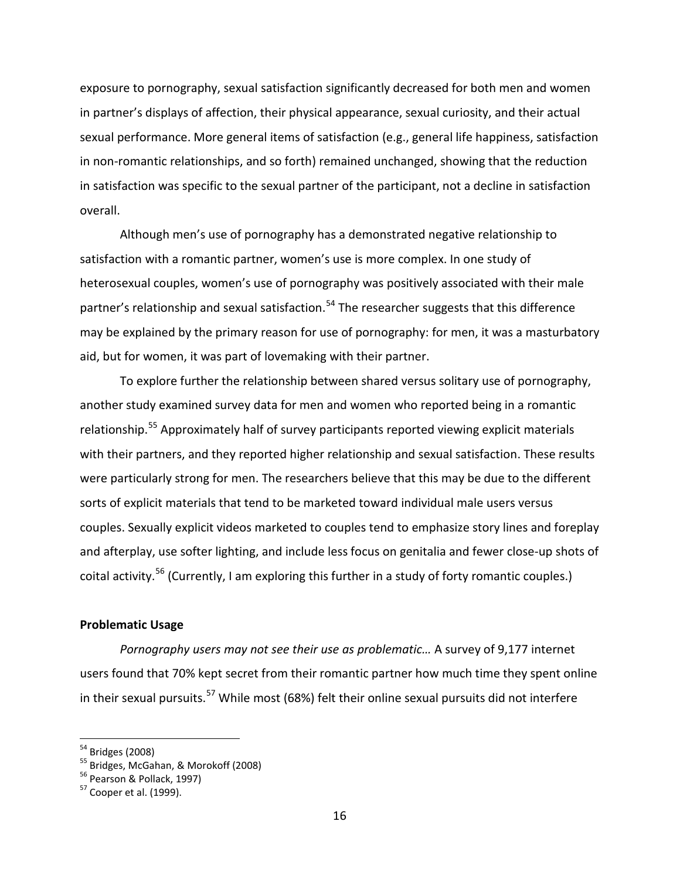exposure to pornography, sexual satisfaction significantly decreased for both men and women in partner's displays of affection, their physical appearance, sexual curiosity, and their actual sexual performance. More general items of satisfaction (e.g., general life happiness, satisfaction in non-romantic relationships, and so forth) remained unchanged, showing that the reduction in satisfaction was specific to the sexual partner of the participant, not a decline in satisfaction overall.

Although men's use of pornography has a demonstrated negative relationship to satisfaction with a romantic partner, women's use is more complex. In one study of heterosexual couples, women's use of pornography was positively associated with their male partner's relationship and sexual satisfaction.<sup>[54](#page-15-0)</sup> The researcher suggests that this difference may be explained by the primary reason for use of pornography: for men, it was a masturbatory aid, but for women, it was part of lovemaking with their partner.

To explore further the relationship between shared versus solitary use of pornography, another study examined survey data for men and women who reported being in a romantic relationship.<sup>[55](#page-15-1)</sup> Approximately half of survey participants reported viewing explicit materials with their partners, and they reported higher relationship and sexual satisfaction. These results were particularly strong for men. The researchers believe that this may be due to the different sorts of explicit materials that tend to be marketed toward individual male users versus couples. Sexually explicit videos marketed to couples tend to emphasize story lines and foreplay and afterplay, use softer lighting, and include less focus on genitalia and fewer close-up shots of coital activity.<sup>[56](#page-15-2)</sup> (Currently, I am exploring this further in a study of forty romantic couples.)

# **Problematic Usage**

*Pornography users may not see their use as problematic…* A survey of 9,177 internet users found that 70% kept secret from their romantic partner how much time they spent online in their sexual pursuits.<sup>[57](#page-15-3)</sup> While most (68%) felt their online sexual pursuits did not interfere

<span id="page-15-0"></span><sup>54</sup> Bridges (2008)

<span id="page-15-2"></span><span id="page-15-1"></span> $55$  Bridges, McGahan, & Morokoff (2008)

<sup>56</sup> Pearson & Pollack, 1997)

<span id="page-15-3"></span> $57$  Cooper et al. (1999).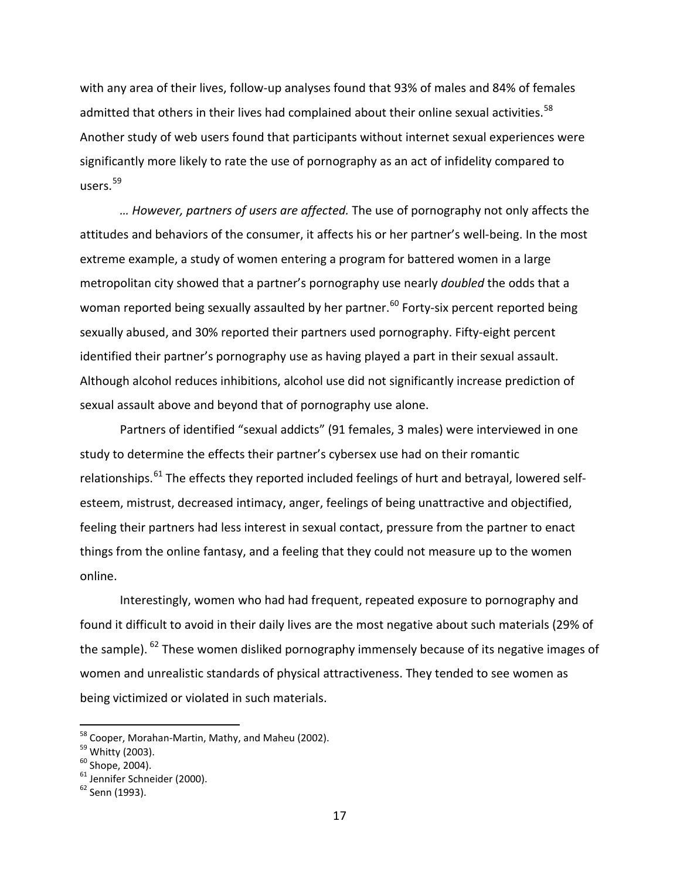with any area of their lives, follow-up analyses found that 93% of males and 84% of females admitted that others in their lives had complained about their online sexual activities.<sup>[58](#page-16-0)</sup> Another study of web users found that participants without internet sexual experiences were significantly more likely to rate the use of pornography as an act of infidelity compared to  $users.<sup>59</sup>$  $users.<sup>59</sup>$  $users.<sup>59</sup>$ 

*… However, partners of users are affected.* The use of pornography not only affects the attitudes and behaviors of the consumer, it affects his or her partner's well-being. In the most extreme example, a study of women entering a program for battered women in a large metropolitan city showed that a partner's pornography use nearly *doubled* the odds that a woman reported being sexually assaulted by her partner.<sup>[60](#page-16-2)</sup> Forty-six percent reported being sexually abused, and 30% reported their partners used pornography. Fifty-eight percent identified their partner's pornography use as having played a part in their sexual assault. Although alcohol reduces inhibitions, alcohol use did not significantly increase prediction of sexual assault above and beyond that of pornography use alone.

Partners of identified "sexual addicts" (91 females, 3 males) were interviewed in one study to determine the effects their partner's cybersex use had on their romantic relationships.<sup>[61](#page-16-3)</sup> The effects they reported included feelings of hurt and betrayal, lowered selfesteem, mistrust, decreased intimacy, anger, feelings of being unattractive and objectified, feeling their partners had less interest in sexual contact, pressure from the partner to enact things from the online fantasy, and a feeling that they could not measure up to the women online.

Interestingly, women who had had frequent, repeated exposure to pornography and found it difficult to avoid in their daily lives are the most negative about such materials (29% of the sample). <sup>[62](#page-16-4)</sup> These women disliked pornography immensely because of its negative images of women and unrealistic standards of physical attractiveness. They tended to see women as being victimized or violated in such materials.

<sup>&</sup>lt;sup>58</sup> Cooper, Morahan-Martin, Mathy, and Maheu (2002).

<span id="page-16-1"></span><span id="page-16-0"></span><sup>59</sup> Whitty (2003).

<span id="page-16-2"></span> $60$  Shope, 2004).

<span id="page-16-3"></span><sup>&</sup>lt;sup>61</sup> Jennifer Schneider (2000).

<span id="page-16-4"></span><sup>62</sup> Senn (1993).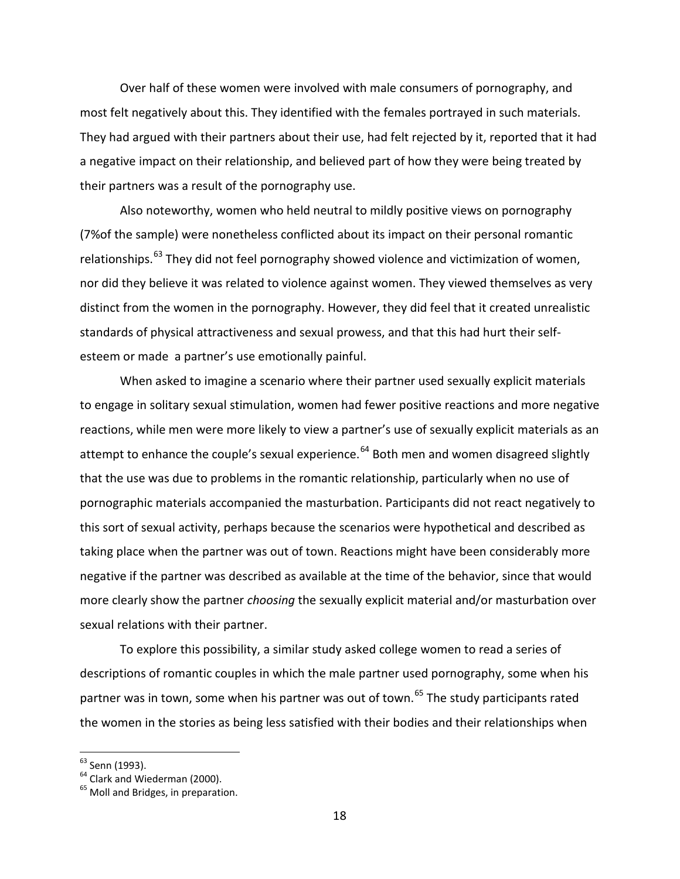Over half of these women were involved with male consumers of pornography, and most felt negatively about this. They identified with the females portrayed in such materials. They had argued with their partners about their use, had felt rejected by it, reported that it had a negative impact on their relationship, and believed part of how they were being treated by their partners was a result of the pornography use.

Also noteworthy, women who held neutral to mildly positive views on pornography (7%of the sample) were nonetheless conflicted about its impact on their personal romantic relationships.<sup>[63](#page-17-0)</sup> They did not feel pornography showed violence and victimization of women, nor did they believe it was related to violence against women. They viewed themselves as very distinct from the women in the pornography. However, they did feel that it created unrealistic standards of physical attractiveness and sexual prowess, and that this had hurt their selfesteem or made a partner's use emotionally painful.

When asked to imagine a scenario where their partner used sexually explicit materials to engage in solitary sexual stimulation, women had fewer positive reactions and more negative reactions, while men were more likely to view a partner's use of sexually explicit materials as an attempt to enhance the couple's sexual experience.<sup>[64](#page-17-1)</sup> Both men and women disagreed slightly that the use was due to problems in the romantic relationship, particularly when no use of pornographic materials accompanied the masturbation. Participants did not react negatively to this sort of sexual activity, perhaps because the scenarios were hypothetical and described as taking place when the partner was out of town. Reactions might have been considerably more negative if the partner was described as available at the time of the behavior, since that would more clearly show the partner *choosing* the sexually explicit material and/or masturbation over sexual relations with their partner.

To explore this possibility, a similar study asked college women to read a series of descriptions of romantic couples in which the male partner used pornography, some when his partner was in town, some when his partner was out of town.<sup>[65](#page-17-2)</sup> The study participants rated the women in the stories as being less satisfied with their bodies and their relationships when

<span id="page-17-0"></span><sup>&</sup>lt;sup>63</sup> Senn (1993).

<span id="page-17-1"></span><sup>&</sup>lt;sup>64</sup> Clark and Wiederman (2000).

<span id="page-17-2"></span><sup>&</sup>lt;sup>65</sup> Moll and Bridges, in preparation.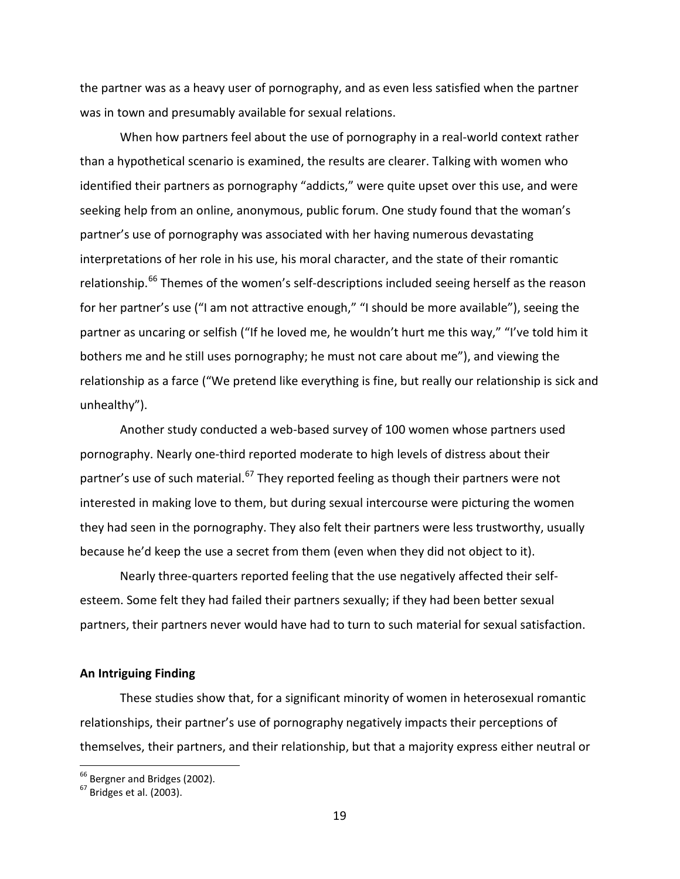the partner was as a heavy user of pornography, and as even less satisfied when the partner was in town and presumably available for sexual relations.

When how partners feel about the use of pornography in a real-world context rather than a hypothetical scenario is examined, the results are clearer. Talking with women who identified their partners as pornography "addicts," were quite upset over this use, and were seeking help from an online, anonymous, public forum. One study found that the woman's partner's use of pornography was associated with her having numerous devastating interpretations of her role in his use, his moral character, and the state of their romantic relationship.<sup>[66](#page-18-0)</sup> Themes of the women's self-descriptions included seeing herself as the reason for her partner's use ("I am not attractive enough," "I should be more available"), seeing the partner as uncaring or selfish ("If he loved me, he wouldn't hurt me this way," "I've told him it bothers me and he still uses pornography; he must not care about me"), and viewing the relationship as a farce ("We pretend like everything is fine, but really our relationship is sick and unhealthy").

Another study conducted a web-based survey of 100 women whose partners used pornography. Nearly one-third reported moderate to high levels of distress about their partner's use of such material.<sup>[67](#page-18-1)</sup> They reported feeling as though their partners were not interested in making love to them, but during sexual intercourse were picturing the women they had seen in the pornography. They also felt their partners were less trustworthy, usually because he'd keep the use a secret from them (even when they did not object to it).

Nearly three-quarters reported feeling that the use negatively affected their selfesteem. Some felt they had failed their partners sexually; if they had been better sexual partners, their partners never would have had to turn to such material for sexual satisfaction.

#### **An Intriguing Finding**

These studies show that, for a significant minority of women in heterosexual romantic relationships, their partner's use of pornography negatively impacts their perceptions of themselves, their partners, and their relationship, but that a majority express either neutral or

<span id="page-18-0"></span><sup>&</sup>lt;sup>66</sup> Bergner and Bridges (2002).

<span id="page-18-1"></span> $67$  Bridges et al. (2003).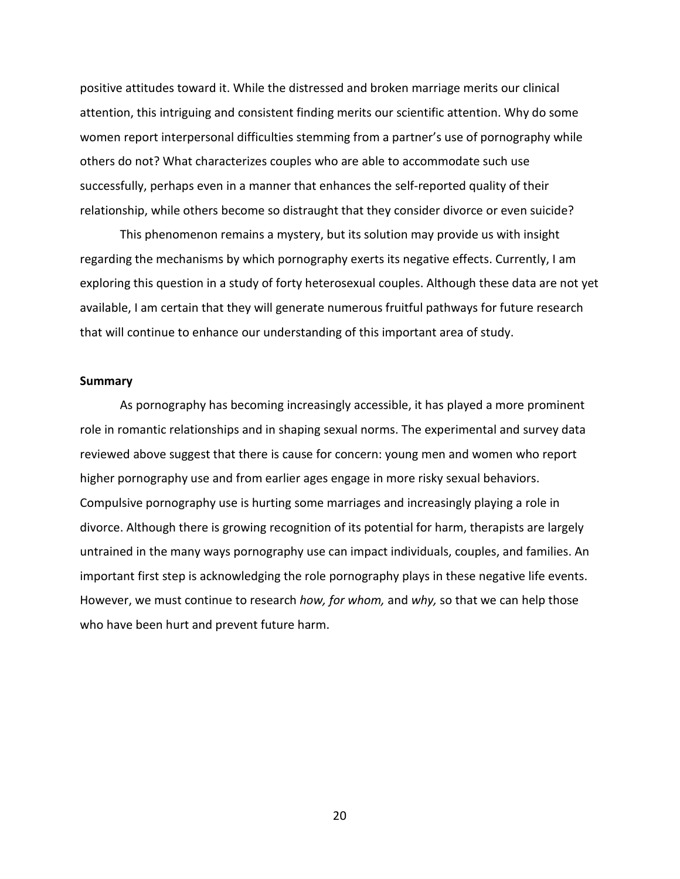positive attitudes toward it. While the distressed and broken marriage merits our clinical attention, this intriguing and consistent finding merits our scientific attention. Why do some women report interpersonal difficulties stemming from a partner's use of pornography while others do not? What characterizes couples who are able to accommodate such use successfully, perhaps even in a manner that enhances the self-reported quality of their relationship, while others become so distraught that they consider divorce or even suicide?

This phenomenon remains a mystery, but its solution may provide us with insight regarding the mechanisms by which pornography exerts its negative effects. Currently, I am exploring this question in a study of forty heterosexual couples. Although these data are not yet available, I am certain that they will generate numerous fruitful pathways for future research that will continue to enhance our understanding of this important area of study.

#### **Summary**

As pornography has becoming increasingly accessible, it has played a more prominent role in romantic relationships and in shaping sexual norms. The experimental and survey data reviewed above suggest that there is cause for concern: young men and women who report higher pornography use and from earlier ages engage in more risky sexual behaviors. Compulsive pornography use is hurting some marriages and increasingly playing a role in divorce. Although there is growing recognition of its potential for harm, therapists are largely untrained in the many ways pornography use can impact individuals, couples, and families. An important first step is acknowledging the role pornography plays in these negative life events. However, we must continue to research *how, for whom,* and *why,* so that we can help those who have been hurt and prevent future harm.

20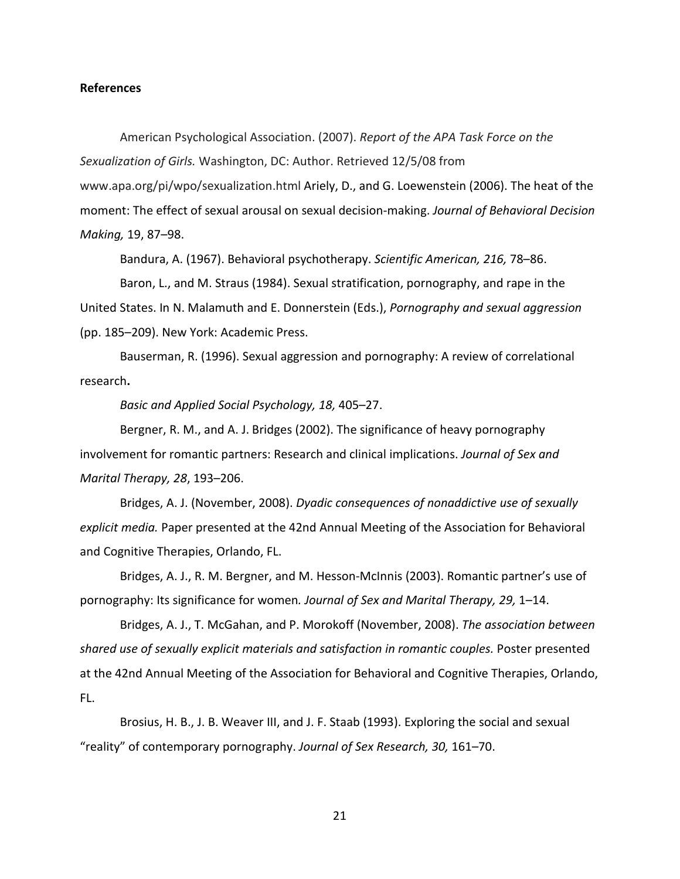## **References**

American Psychological Association. (2007). *Report of the APA Task Force on the Sexualization of Girls.* Washington, DC: Author. Retrieved 12/5/08 from www.apa.org/pi/wpo/sexualization.html Ariely, D., and G. Loewenstein (2006). The heat of the moment: The effect of sexual arousal on sexual decision-making. *Journal of Behavioral Decision Making,* 19, 87–98.

Bandura, A. (1967). Behavioral psychotherapy. *Scientific American, 216,* 78–86.

Baron, L., and M. Straus (1984). Sexual stratification, pornography, and rape in the United States. In N. Malamuth and E. Donnerstein (Eds.), *Pornography and sexual aggression*  (pp. 185–209). New York: Academic Press.

Bauserman, R. (1996). Sexual aggression and pornography: A review of correlational research**.**

*Basic and Applied Social Psychology, 18,* 405–27.

Bergner, R. M., and A. J. Bridges (2002). The significance of heavy pornography involvement for romantic partners: Research and clinical implications. *Journal of Sex and Marital Therapy, 28*, 193–206.

Bridges, A. J. (November, 2008). *Dyadic consequences of nonaddictive use of sexually explicit media.* Paper presented at the 42nd Annual Meeting of the Association for Behavioral and Cognitive Therapies, Orlando, FL.

Bridges, A. J., R. M. Bergner, and M. Hesson-McInnis (2003). Romantic partner's use of pornography: Its significance for women*. Journal of Sex and Marital Therapy, 29,* 1–14.

Bridges, A. J., T. McGahan, and P. Morokoff (November, 2008). *The association between shared use of sexually explicit materials and satisfaction in romantic couples.* Poster presented at the 42nd Annual Meeting of the Association for Behavioral and Cognitive Therapies, Orlando, FL.

Brosius, H. B., J. B. Weaver III, and J. F. Staab (1993). Exploring the social and sexual "reality" of contemporary pornography. *Journal of Sex Research, 30,* 161–70.

21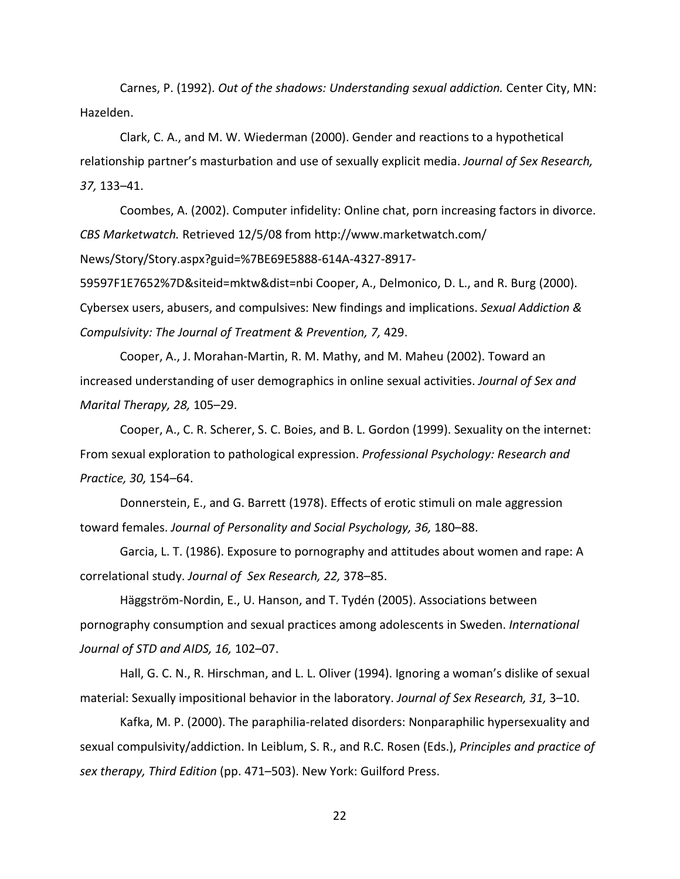Carnes, P. (1992). *Out of the shadows: Understanding sexual addiction.* Center City, MN: Hazelden.

Clark, C. A., and M. W. Wiederman (2000). Gender and reactions to a hypothetical relationship partner's masturbation and use of sexually explicit media. *Journal of Sex Research, 37,* 133–41.

Coombes, A. (2002). Computer infidelity: Online chat, porn increasing factors in divorce. *CBS Marketwatch.* Retrieved 12/5/08 from http://www.marketwatch.com/

News/Story/Story.aspx?guid=%7BE69E5888-614A-4327-8917-

59597F1E7652%7D&siteid=mktw&dist=nbi Cooper, A., Delmonico, D. L., and R. Burg (2000). Cybersex users, abusers, and compulsives: New findings and implications. *Sexual Addiction & Compulsivity: The Journal of Treatment & Prevention, 7,* 429.

Cooper, A., J. Morahan-Martin, R. M. Mathy, and M. Maheu (2002). Toward an increased understanding of user demographics in online sexual activities. *Journal of Sex and Marital Therapy, 28,* 105–29.

Cooper, A., C. R. Scherer, S. C. Boies, and B. L. Gordon (1999). Sexuality on the internet: From sexual exploration to pathological expression. *Professional Psychology: Research and Practice, 30,* 154–64.

Donnerstein, E., and G. Barrett (1978). Effects of erotic stimuli on male aggression toward females. *Journal of Personality and Social Psychology, 36,* 180–88.

Garcia, L. T. (1986). Exposure to pornography and attitudes about women and rape: A correlational study. *Journal of Sex Research, 22,* 378–85.

Häggström-Nordin, E., U. Hanson, and T. Tydén (2005). Associations between pornography consumption and sexual practices among adolescents in Sweden. *International Journal of STD and AIDS, 16,* 102–07.

Hall, G. C. N., R. Hirschman, and L. L. Oliver (1994). Ignoring a woman's dislike of sexual material: Sexually impositional behavior in the laboratory. *Journal of Sex Research, 31,* 3–10.

Kafka, M. P. (2000). The paraphilia-related disorders: Nonparaphilic hypersexuality and sexual compulsivity/addiction. In Leiblum, S. R., and R.C. Rosen (Eds.), *Principles and practice of sex therapy, Third Edition* (pp. 471–503). New York: Guilford Press.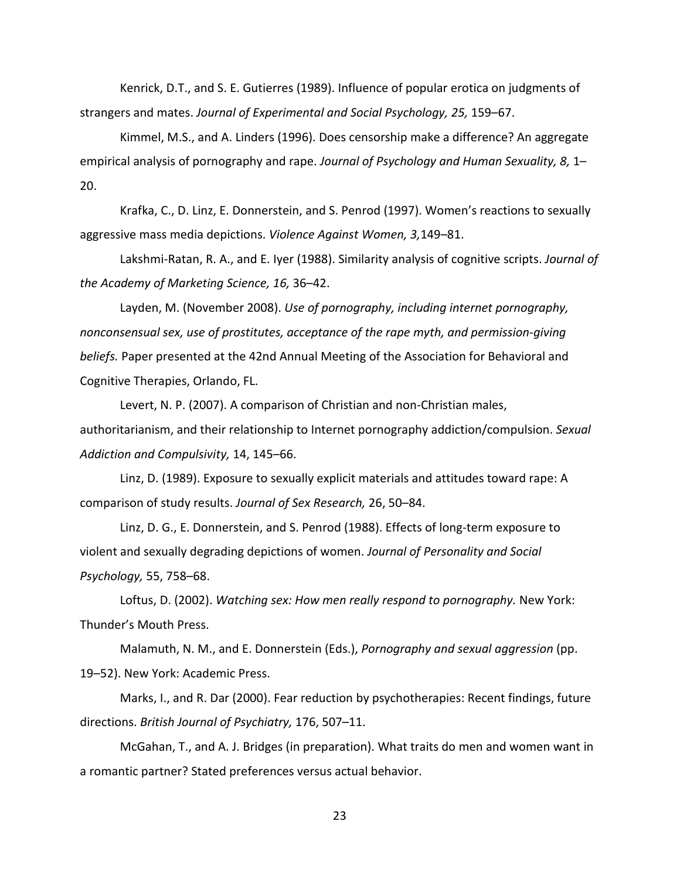Kenrick, D.T., and S. E. Gutierres (1989). Influence of popular erotica on judgments of strangers and mates. *Journal of Experimental and Social Psychology, 25,* 159–67.

Kimmel, M.S., and A. Linders (1996). Does censorship make a difference? An aggregate empirical analysis of pornography and rape. *Journal of Psychology and Human Sexuality, 8,* 1– 20.

Krafka, C., D. Linz, E. Donnerstein, and S. Penrod (1997). Women's reactions to sexually aggressive mass media depictions. *Violence Against Women, 3,*149–81.

Lakshmi-Ratan, R. A., and E. Iyer (1988). Similarity analysis of cognitive scripts. *Journal of the Academy of Marketing Science, 16,* 36–42.

Layden, M. (November 2008). *Use of pornography, including internet pornography, nonconsensual sex, use of prostitutes, acceptance of the rape myth, and permission-giving beliefs.* Paper presented at the 42nd Annual Meeting of the Association for Behavioral and Cognitive Therapies, Orlando, FL.

Levert, N. P. (2007). A comparison of Christian and non-Christian males, authoritarianism, and their relationship to Internet pornography addiction/compulsion. *Sexual Addiction and Compulsivity,* 14, 145–66.

Linz, D. (1989). Exposure to sexually explicit materials and attitudes toward rape: A comparison of study results. *Journal of Sex Research,* 26, 50–84.

Linz, D. G., E. Donnerstein, and S. Penrod (1988). Effects of long-term exposure to violent and sexually degrading depictions of women. *Journal of Personality and Social Psychology,* 55, 758–68.

Loftus, D. (2002). *Watching sex: How men really respond to pornography.* New York: Thunder's Mouth Press.

Malamuth, N. M., and E. Donnerstein (Eds.), *Pornography and sexual aggression* (pp. 19–52). New York: Academic Press.

Marks, I., and R. Dar (2000). Fear reduction by psychotherapies: Recent findings, future directions. *British Journal of Psychiatry,* 176, 507–11.

McGahan, T., and A. J. Bridges (in preparation). What traits do men and women want in a romantic partner? Stated preferences versus actual behavior.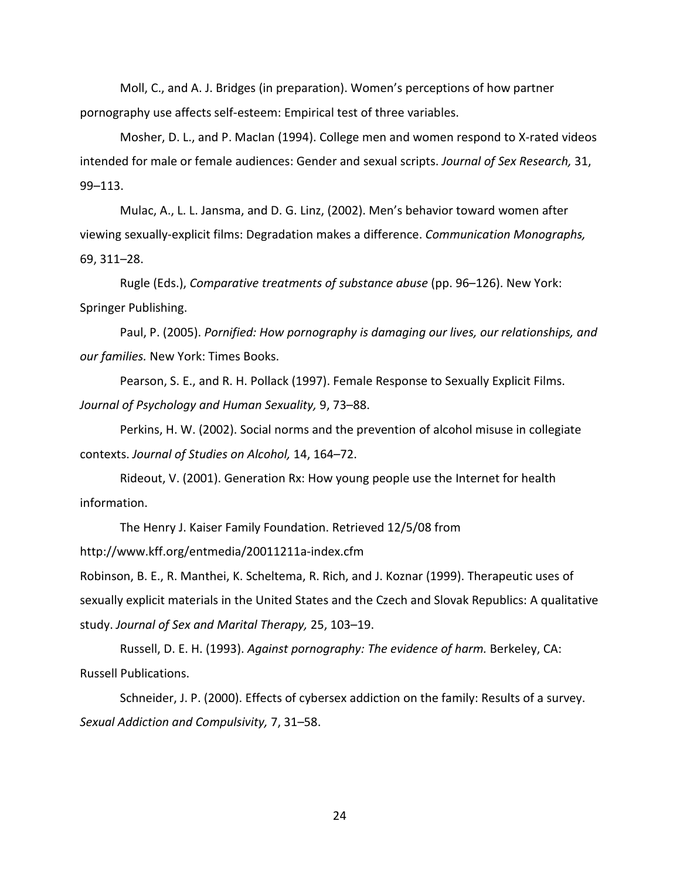Moll, C., and A. J. Bridges (in preparation). Women's perceptions of how partner pornography use affects self-esteem: Empirical test of three variables.

Mosher, D. L., and P. MacIan (1994). College men and women respond to X-rated videos intended for male or female audiences: Gender and sexual scripts. *Journal of Sex Research,* 31, 99–113.

Mulac, A., L. L. Jansma, and D. G. Linz, (2002). Men's behavior toward women after viewing sexually-explicit films: Degradation makes a difference. *Communication Monographs,*  69, 311–28.

Rugle (Eds.), *Comparative treatments of substance abuse* (pp. 96–126). New York: Springer Publishing.

Paul, P. (2005). *Pornified: How pornography is damaging our lives, our relationships, and our families.* New York: Times Books.

Pearson, S. E., and R. H. Pollack (1997). Female Response to Sexually Explicit Films. *Journal of Psychology and Human Sexuality,* 9, 73–88.

Perkins, H. W. (2002). Social norms and the prevention of alcohol misuse in collegiate contexts. *Journal of Studies on Alcohol,* 14, 164–72.

Rideout, V. (2001). Generation Rx: How young people use the Internet for health information.

The Henry J. Kaiser Family Foundation. Retrieved 12/5/08 from

http://www.kff.org/entmedia/20011211a-index.cfm

Robinson, B. E., R. Manthei, K. Scheltema, R. Rich, and J. Koznar (1999). Therapeutic uses of sexually explicit materials in the United States and the Czech and Slovak Republics: A qualitative study. *Journal of Sex and Marital Therapy,* 25, 103–19.

Russell, D. E. H. (1993). *Against pornography: The evidence of harm.* Berkeley, CA: Russell Publications.

Schneider, J. P. (2000). Effects of cybersex addiction on the family: Results of a survey. *Sexual Addiction and Compulsivity,* 7, 31–58.